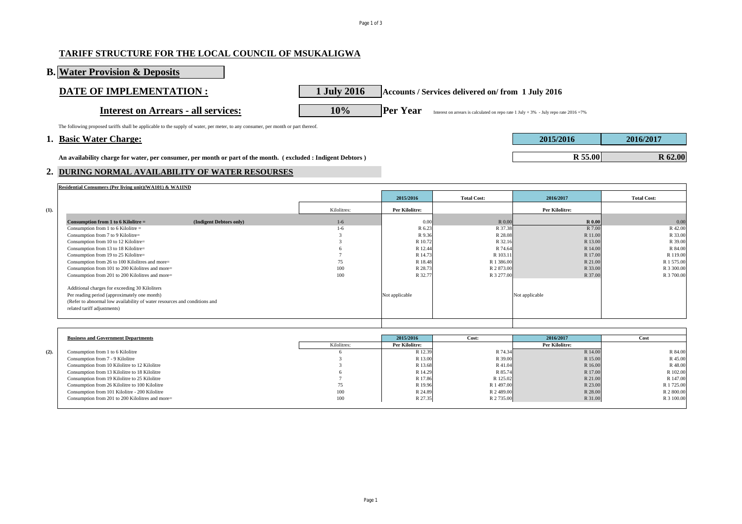### Page 1 of 3

# **TARIFF STRUCTURE FOR THE LOCAL COUNCIL OF MSUKALIGWA**

**B. Water Provision & Deposits**

Interest on Arrears - all services: **10%** Per Year Interest on arrears is calculated on repo rate 1 July + 3% - July repo rate 2016 =7%

**DATE OF IMPLEMENTATION :** 1 July 2016 **Accounts / Services delivered on/ from 1 July 2016** 

The following proposed tariffs shall be applicable to the supply of water, per meter, to any consumer, per month or part thereof.

### **1. Basic Water Charge: 2015/2016 2016/2017**

An availability charge for water, per consumer, per month or part of the month. (excluded : Indigent Debtors)

### **2. DURING NORMAL AVAILABILITY OF WATER RESOURSES**

| Residential Consumers (Per living unit) (WA101) & WA1IND                  |             |                       |                    |                       |                    |
|---------------------------------------------------------------------------|-------------|-----------------------|--------------------|-----------------------|--------------------|
|                                                                           |             | 2015/2016             | <b>Total Cost:</b> | 2016/2017             | <b>Total Cost:</b> |
| (1).                                                                      | Kilolitres: | <b>Per Kilolitre:</b> |                    | <b>Per Kilolitre:</b> |                    |
| (Indigent Debtors only)<br>Consumption from 1 to 6 Kilolitre $=$          | $1-6$       | 0.00                  | R 0.00             | <b>R</b> 0.00         | 0.00               |
| Consumption from 1 to 6 Kilolitre $=$                                     | $1-6$       | R 6.23                | R 37.38            | R 7.00                | R 42.00            |
| Consumption from 7 to 9 Kilolitre=                                        |             | R 9.36                | R 28.08            | R 11.00               | R 33.00            |
| Consumption from 10 to 12 Kilolitre=                                      |             | R 10.72               | R 32.16            | R 13.00               | R 39.00            |
| Consumption from 13 to 18 Kilolitre=                                      |             | R 12.44               | R 74.64            | R 14.00               | R 84.00            |
| Consumption from 19 to 25 Kilolitre=                                      |             | R 14.73               | R 103.11           | R 17.00               | R 119.00           |
| Consumption from 26 to 100 Kilolitres and more=                           | 75          | R 18.48               | R 1 386.00         | R 21.00               | R 1 575.00         |
| Consumption from 101 to 200 Kilolitres and more=                          | 100         | R 28.73               | R 2 873.00         | R 33.00               | R 3 300.00         |
| Consumption from 201 to 200 Kilolitres and more=                          | 100         | R 32.77               | R 3 277.00         | R 37.00               | R 3 700.00         |
| Additional charges for exceeding 30 Kiloliters                            |             |                       |                    |                       |                    |
| Per reading period (approximately one month)                              |             | Not applicable        |                    | Not applicable        |                    |
| (Refer to abnormal low availability of water resources and conditions and |             |                       |                    |                       |                    |
| related tariff adjustments)                                               |             |                       |                    |                       |                    |
|                                                                           |             |                       |                    |                       |                    |
|                                                                           |             |                       |                    |                       |                    |

|         | <b>Business and Government Departments</b>       |             | 2015/2016             | Cost:      | 2016/2017      | Cost       |
|---------|--------------------------------------------------|-------------|-----------------------|------------|----------------|------------|
|         |                                                  | Kilolitres: | <b>Per Kilolitre:</b> |            | Per Kilolitre: |            |
| $(2)$ . | Consumption from 1 to 6 Kilolitre                |             | R 12.39               | R 74.34    | R 14.00        | R 84.00    |
|         | Consumption from 7 - 9 Kilolitre                 |             | R 13.00               | R 39.00    | R 15.00        | R 45.00    |
|         | Consumption from 10 Kilolitre to 12 Kilolitre    |             | R 13.68               | R 41.04    | R 16.00        | R48.00     |
|         | Consumption from 13 Kilolitre to 18 Kilolitre    |             | R 14.29               | R 85.74    | R 17.00        | R 102.00   |
|         | Consumption from 19 Kilolitre to 25 Kilolitre    |             | R 17.86               | R 125.02   | R 21.00        | R 147.00   |
|         | Consumption from 26 Kilolitre to 100 Kilolitre   | 75          | R 19.96               | R 1 497.00 | R 23.00        | R 1725.00  |
|         | Consumption from 101 Kilolitre - 200 Kilolitre   | 100         | R 24.89               | R 2 489.00 | R 28.00        | R 2 800.00 |
|         | Consumption from 201 to 200 Kilolitres and more= | 100         | R 27.35               | R 2735.00  | R 31.00        | R 3 100.00 |
|         |                                                  |             |                       |            |                |            |

| 2015/2016 | 2016/2017      |
|-----------|----------------|
|           |                |
| R 55.00   | <b>R</b> 62.00 |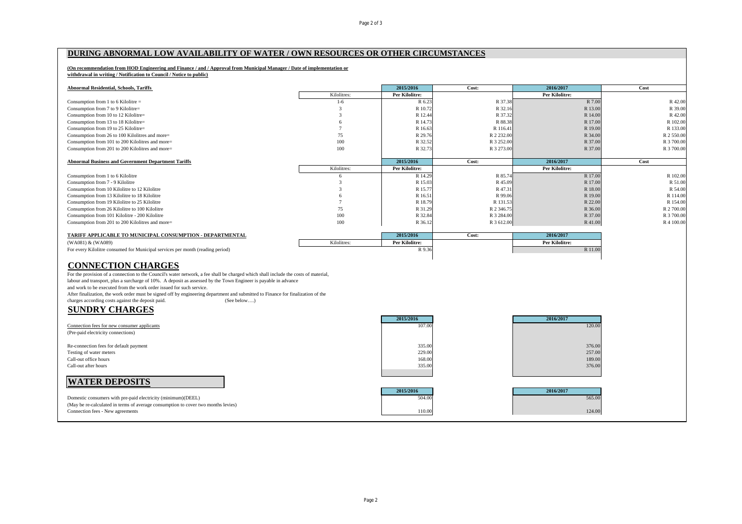### **DURING ABNORMAL LOW AVAILABILITY OF WATER / OWN RESOURCES OR OTHER CIRCUMSTANCES**

### **(On recommendation from HOD Engineering and Finance / and / Approval from Municipal Manager / Date of implementation or withdrawal in writing / Notification to Council / Notice to public)**

| <b>Abnormal Residential, Schools, Tariffs</b>              |             | 2015/2016             | Cost:      | 2016/2017             | Cost       |
|------------------------------------------------------------|-------------|-----------------------|------------|-----------------------|------------|
|                                                            | Kilolitres: | Per Kilolitre:        |            | Per Kilolitre:        |            |
| Consumption from 1 to 6 Kilolitre $=$                      | $1-6$       | R 6.23                | R 37.38    | R 7.00                | R 42.00    |
| Consumption from 7 to 9 Kilolitre=                         |             | R 10.72               | R 32.16    | R 13.00               | R 39.00    |
| Consumption from 10 to 12 Kilolitre=                       |             | R 12.44               | R 37.32    | R 14.00               | R 42.00    |
| Consumption from 13 to 18 Kilolitre=                       |             | R 14.73               | R 88.38    | R 17.00               | R 102.00   |
| Consumption from 19 to 25 Kilolitre=                       |             | R 16.63               | R 116.41   | R 19.00               | R 133.00   |
| Consumption from 26 to 100 Kilolitres and more=            | 75          | R 29.76               | R 2 232.00 | R 34.00               | R 2 550.00 |
| Consumption from 101 to 200 Kilolitres and more=           | 100         | R 32.52               | R 3 252.00 | R 37.00               | R 3 700.00 |
| Consumption from 201 to 200 Kilolitres and more=           | 100         | R 32.73               | R 3 273.00 | R 37.00               | R 3 700.00 |
|                                                            |             |                       |            |                       |            |
| <b>Abnormal Business and Government Department Tariffs</b> |             | 2015/2016             | Cost:      | 2016/2017             | Cost       |
|                                                            | Kilolitres: | Per Kilolitre:        |            | Per Kilolitre:        |            |
| Consumption from 1 to 6 Kilolitre                          |             | R 14.29               | R 85.74    | R 17.00               | R 102.00   |
| Consumption from 7 - 9 Kilolitre                           |             | R 15.03               | R 45.09    | R 17.00               | R 51.00    |
| Consumption from 10 Kilolitre to 12 Kilolitre              |             | R 15.77               | R 47.31    | R 18.00               | R 54.00    |
| Consumption from 13 Kilolitre to 18 Kilolitre              |             | R 16.51               | R 99.06    | R 19.00               | R 114.00   |
| Consumption from 19 Kilolitre to 25 Kilolitre              |             | R 18.79               | R 131.53   | R 22.00               | R 154.00   |
| Consumption from 26 Kilolitre to 100 Kilolitre             | 75          | R 31.29               | R 2 346.75 | R 36.00               | R 2700.00  |
| Consumption from 101 Kilolitre - 200 Kilolitre             | 100         | R 32.84               | R 3 284.00 | R 37.00               | R 3 700.00 |
| Consumption from 201 to 200 Kilolitres and more=           | 100         | R 36.12               | R 3 612.00 | R 41.00               | R 4 100.00 |
|                                                            |             |                       |            |                       |            |
| TARIFF APPLICABLE TO MUNICIPAL CONSUMPTION - DEPARTMENTAL  |             | 2015/2016             | Cost:      | 2016/2017             |            |
| (WA081) & (WA089)                                          | Kilolitres: | <b>Per Kilolitre:</b> |            | <b>Per Kilolitre:</b> |            |

For every Kilolitre consumed for Municipal services per month (reading period) R 9.36 R 11.00

# **CONNECTION CHARGES**

For the provision of a connection to the Council's water network, a fee shall be charged which shall include the costs of material, labour and transport, plus a surcharge of 10%. A deposit as assessed by the Town Engineer is payable in advance and work to be executed from the work order issued for such service. After finalization, the work order must be signed off by engineering department and submitted to Finance for finalization of the charges according costs against the deposit paid. (See below....) charges according costs against the deposit paid.

# **SUNDRY CHARGES**

|                                                                                   | 2015/2016 | 2016/2017 |  |
|-----------------------------------------------------------------------------------|-----------|-----------|--|
| Connection fees for new consumer applicants                                       | 107.00    | 120.00    |  |
| (Pre-paid electricity connections)                                                |           |           |  |
| Re-connection fees for default payment                                            | 335.00    | 376.00    |  |
| Testing of water meters                                                           | 229.00    | 257.00    |  |
| Call-out office hours                                                             | 168.00    | 189.00    |  |
| Call-out after hours                                                              | 335.00    | 376.00    |  |
| <b>WATER DEPOSITS</b>                                                             |           |           |  |
|                                                                                   | 2015/2016 | 2016/2017 |  |
| Domestic consumers with pre-paid electricity (minimum)(DEEL)                      | 504.00    | 565.00    |  |
| (May be re-calculated in terms of average consumption to cover two months levies) |           |           |  |
| Connection fees - New agreements                                                  | 110.00    | 124.00    |  |